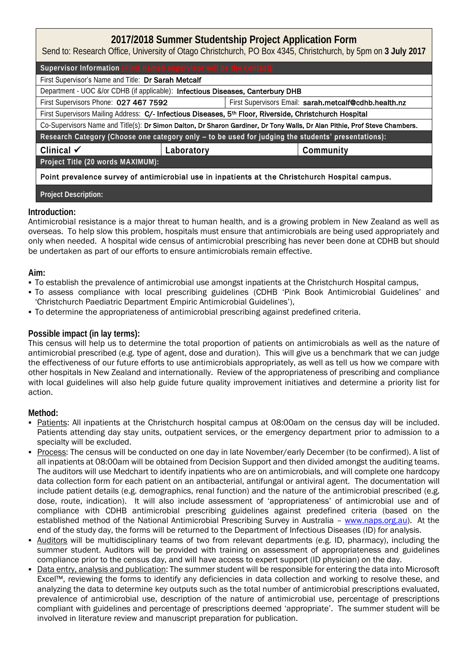# **2017/2018 Summer Studentship Project Application Form**

Send to: Research Office, University of Otago Christchurch, PO Box 4345, Christchurch, by 5pm on **3 July 2017**

Supervisor Information

First Supervisor's Name and Title: Dr Sarah Metcalf

Department - UOC &/or CDHB (if applicable): Infectious Diseases, Canterbury DHB

First Supervisors Phone: 027 467 7592 First Supervisors Email: sarah.metcalf@cdhb.health.nz

First Supervisors Mailing Address: C/- Infectious Diseases, 5<sup>th</sup> Floor, Riverside, Christchurch Hospital

Co-Supervisors Name and Title(s): **Dr Simon Dalton, Dr Sharon Gardiner, Dr Tony Walls, Dr Alan Pithie, Prof Steve Chambers.** 

Research Category (Choose one category only **– to be used for judging the students' presentations)**:

**Clinical Laboratory Community**

**Project Title (20 words MAXIMUM):**

Point prevalence survey of antimicrobial use in inpatients at the Christchurch Hospital campus.

**Carcinomas and Abdominal Aortic Aneurysm Project Description:**

### **Introduction:**

Antimicrobial resistance is a major threat to human health, and is a growing problem in New Zealand as well as overseas. To help slow this problem, hospitals must ensure that antimicrobials are being used appropriately and only when needed. A hospital wide census of antimicrobial prescribing has never been done at CDHB but should be undertaken as part of our efforts to ensure antimicrobials remain effective.

### **Aim:**

- To establish the prevalence of antimicrobial use amongst inpatients at the Christchurch Hospital campus,
- To assess compliance with local prescribing guidelines (CDHB 'Pink Book Antimicrobial Guidelines' and 'Christchurch Paediatric Department Empiric Antimicrobial Guidelines'),
- To determine the appropriateness of antimicrobial prescribing against predefined criteria.

### **Possible impact (in lay terms):**

This census will help us to determine the total proportion of patients on antimicrobials as well as the nature of antimicrobial prescribed (e.g. type of agent, dose and duration). This will give us a benchmark that we can judge the effectiveness of our future efforts to use antimicrobials appropriately, as well as tell us how we compare with other hospitals in New Zealand and internationally. Review of the appropriateness of prescribing and compliance with local guidelines will also help guide future quality improvement initiatives and determine a priority list for action.

#### **Method:**

- Patients: All inpatients at the Christchurch hospital campus at 08:00am on the census day will be included. Patients attending day stay units, outpatient services, or the emergency department prior to admission to a specialty will be excluded.
- Process: The census will be conducted on one day in late November/early December (to be confirmed). A list of all inpatients at 08:00am will be obtained from Decision Support and then divided amongst the auditing teams. The auditors will use Medchart to identify inpatients who are on antimicrobials, and will complete one hardcopy data collection form for each patient on an antibacterial, antifungal or antiviral agent. The documentation will include patient details (e.g. demographics, renal function) and the nature of the antimicrobial prescribed (e.g. dose, route, indication). It will also include assessment of 'appropriateness' of antimicrobial use and of compliance with CDHB antimicrobial prescribing guidelines against predefined criteria (based on the established method of the National Antimicrobial Prescribing Survey in Australia - [www.naps.org.au\)](http://www.naps.org.au/). At the end of the study day, the forms will be returned to the Department of Infectious Diseases (ID) for analysis.
- Auditors will be multidisciplinary teams of two from relevant departments (e.g. ID, pharmacy), including the summer student. Auditors will be provided with training on assessment of appropriateness and guidelines compliance prior to the census day, and will have access to expert support (ID physician) on the day.
- Data entry, analysis and publication: The summer student will be responsible for entering the data into Microsoft Excel™, reviewing the forms to identify any deficiencies in data collection and working to resolve these, and analyzing the data to determine key outputs such as the total number of antimicrobial prescriptions evaluated, prevalence of antimicrobial use, description of the nature of antimicrobial use, percentage of prescriptions compliant with guidelines and percentage of prescriptions deemed 'appropriate'. The summer student will be involved in literature review and manuscript preparation for publication.